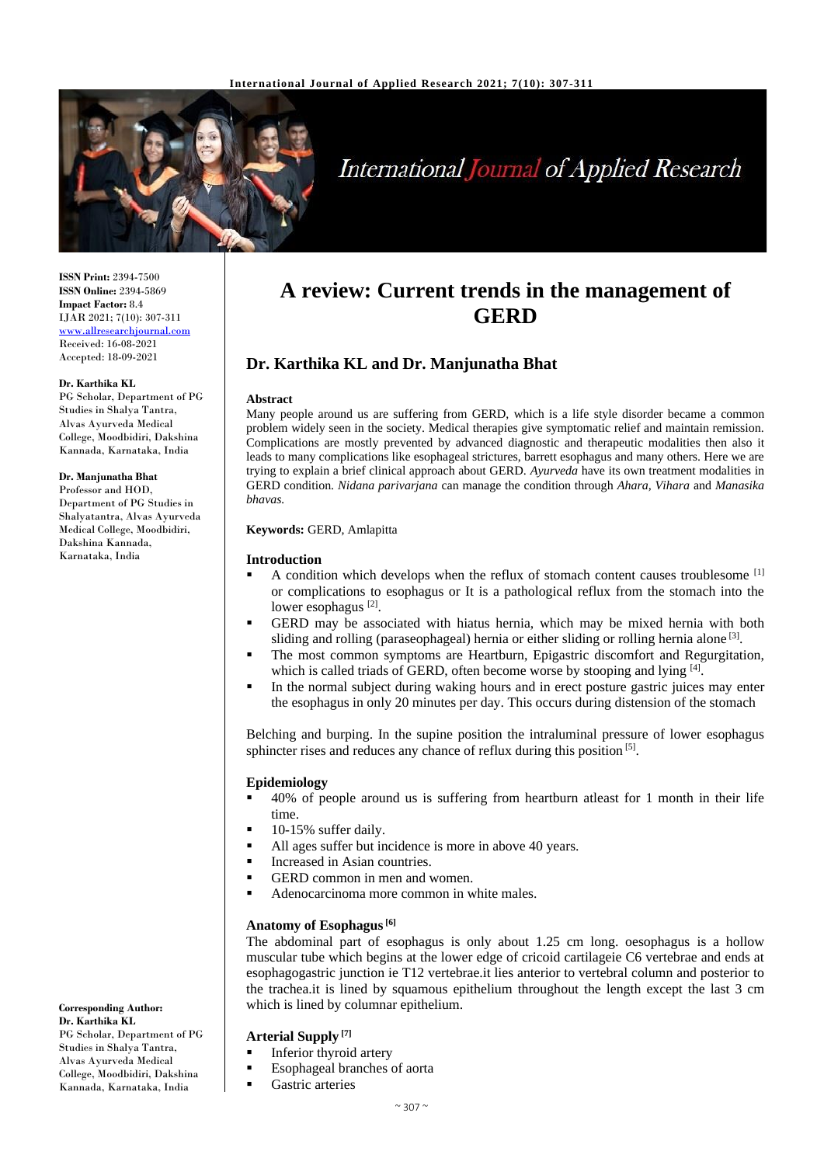

# **International Journal of Applied Research**

**ISSN Print:** 2394-7500 **ISSN Online:** 2394-5869 **Impact Factor:** 8.4 IJAR 2021; 7(10): 307-311 <www.allresearchjournal.com> Received: 16-08-2021 Accepted: 18-09-2021

#### **Dr. Karthika KL**

PG Scholar, Department of PG Studies in Shalya Tantra, Alvas Ayurveda Medical College, Moodbidiri, Dakshina Kannada, Karnataka, India

#### **Dr. Manjunatha Bhat**

Professor and HOD, Department of PG Studies in Shalyatantra, Alvas Ayurveda Medical College, Moodbidiri, Dakshina Kannada, Karnataka, India

# **Corresponding Author: Dr. Karthika KL** PG Scholar, Department of PG

Studies in Shalya Tantra, Alvas Ayurveda Medical College, Moodbidiri, Dakshina Kannada, Karnataka, India

# **A review: Current trends in the management of GERD**

# **Dr. Karthika KL and Dr. Manjunatha Bhat**

#### **Abstract**

Many people around us are suffering from GERD, which is a life style disorder became a common problem widely seen in the society. Medical therapies give symptomatic relief and maintain remission. Complications are mostly prevented by advanced diagnostic and therapeutic modalities then also it leads to many complications like esophageal strictures, barrett esophagus and many others. Here we are trying to explain a brief clinical approach about GERD. *Ayurveda* have its own treatment modalities in GERD condition. *Nidana parivarjana* can manage the condition through *Ahara, Vihara* and *Manasika bhavas.*

**Keywords:** GERD, Amlapitta

#### **Introduction**

- A condition which develops when the reflux of stomach content causes troublesome  $<sup>[1]</sup>$ </sup> or complications to esophagus or It is a pathological reflux from the stomach into the lower esophagus<sup>[2]</sup>.
- GERD may be associated with hiatus hernia, which may be mixed hernia with both sliding and rolling (paraseophageal) hernia or either sliding or rolling hernia alone<sup>[3]</sup>.
- The most common symptoms are Heartburn, Epigastric discomfort and Regurgitation, which is called triads of GERD, often become worse by stooping and lying [4].
- **•** In the normal subject during waking hours and in erect posture gastric juices may enter the esophagus in only 20 minutes per day. This occurs during distension of the stomach

Belching and burping. In the supine position the intraluminal pressure of lower esophagus sphincter rises and reduces any chance of reflux during this position  $[5]$ .

#### **Epidemiology**

- 40% of people around us is suffering from heartburn atleast for 1 month in their life time.
- 10-15% suffer daily.
- All ages suffer but incidence is more in above 40 years.
- Increased in Asian countries.
- GERD common in men and women.
- Adenocarcinoma more common in white males.

#### **Anatomy of Esophagus[6]**

The abdominal part of esophagus is only about 1.25 cm long. oesophagus is a hollow muscular tube which begins at the lower edge of cricoid cartilageie C6 vertebrae and ends at esophagogastric junction ie T12 vertebrae.it lies anterior to vertebral column and posterior to the trachea.it is lined by squamous epithelium throughout the length except the last 3 cm which is lined by columnar epithelium.

# **Arterial Supply [7]**

- **•** Inferior thyroid artery
	- Esophageal branches of aorta
	- Gastric arteries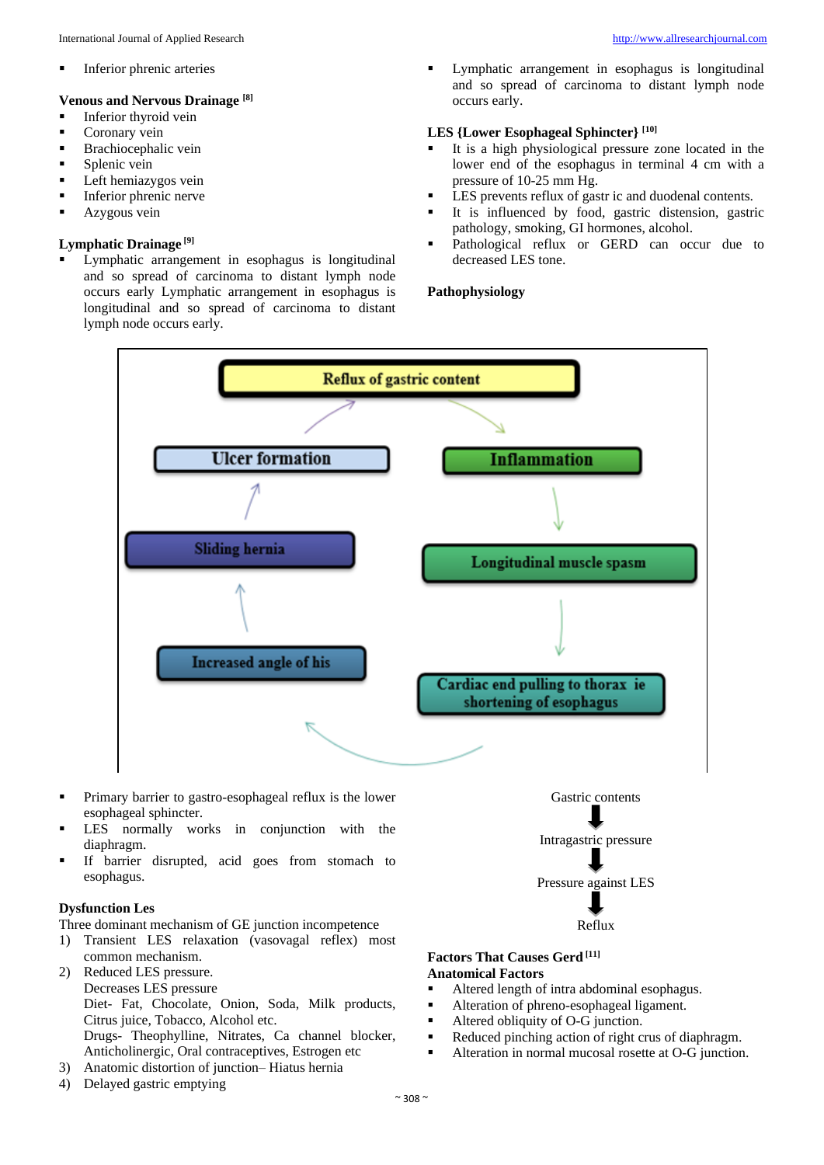**Inferior phrenic arteries** 

#### **Venous and Nervous Drainage [8]**

- **■** Inferior thyroid vein
- Coronary vein
- Brachiocephalic vein
- **•** Splenic vein
- **•** Left hemiazygos vein
- **Inferior phrenic nerve**
- **EXALUS** Azygous vein

#### **Lymphatic Drainage [9]**

Lymphatic arrangement in esophagus is longitudinal and so spread of carcinoma to distant lymph node occurs early Lymphatic arrangement in esophagus is longitudinal and so spread of carcinoma to distant lymph node occurs early.

Lymphatic arrangement in esophagus is longitudinal and so spread of carcinoma to distant lymph node occurs early.

## **LES {Lower Esophageal Sphincter} [10]**

- It is a high physiological pressure zone located in the lower end of the esophagus in terminal 4 cm with a pressure of 10-25 mm Hg.
- LES prevents reflux of gastr ic and duodenal contents.
- It is influenced by food, gastric distension, gastric pathology, smoking, GI hormones, alcohol.
- Pathological reflux or GERD can occur due to decreased LES tone.

#### **Pathophysiology**



- Primary barrier to gastro-esophageal reflux is the lower esophageal sphincter.
- LES normally works in conjunction with the diaphragm.
- If barrier disrupted, acid goes from stomach to esophagus.

#### **Dysfunction Les**

Three dominant mechanism of GE junction incompetence

- 1) Transient LES relaxation (vasovagal reflex) most common mechanism.
- 2) Reduced LES pressure. Decreases LES pressure Diet- Fat, Chocolate, Onion, Soda, Milk products, Citrus juice, Tobacco, Alcohol etc. Drugs- Theophylline, Nitrates, Ca channel blocker, Anticholinergic, Oral contraceptives, Estrogen etc
- 3) Anatomic distortion of junction– Hiatus hernia
- 4) Delayed gastric emptying



# **Factors That Causes Gerd [11] Anatomical Factors**

- Altered length of intra abdominal esophagus.
- Alteration of phreno-esophageal ligament.
- Altered obliquity of O-G junction.
- Reduced pinching action of right crus of diaphragm.
- Alteration in normal mucosal rosette at O-G junction.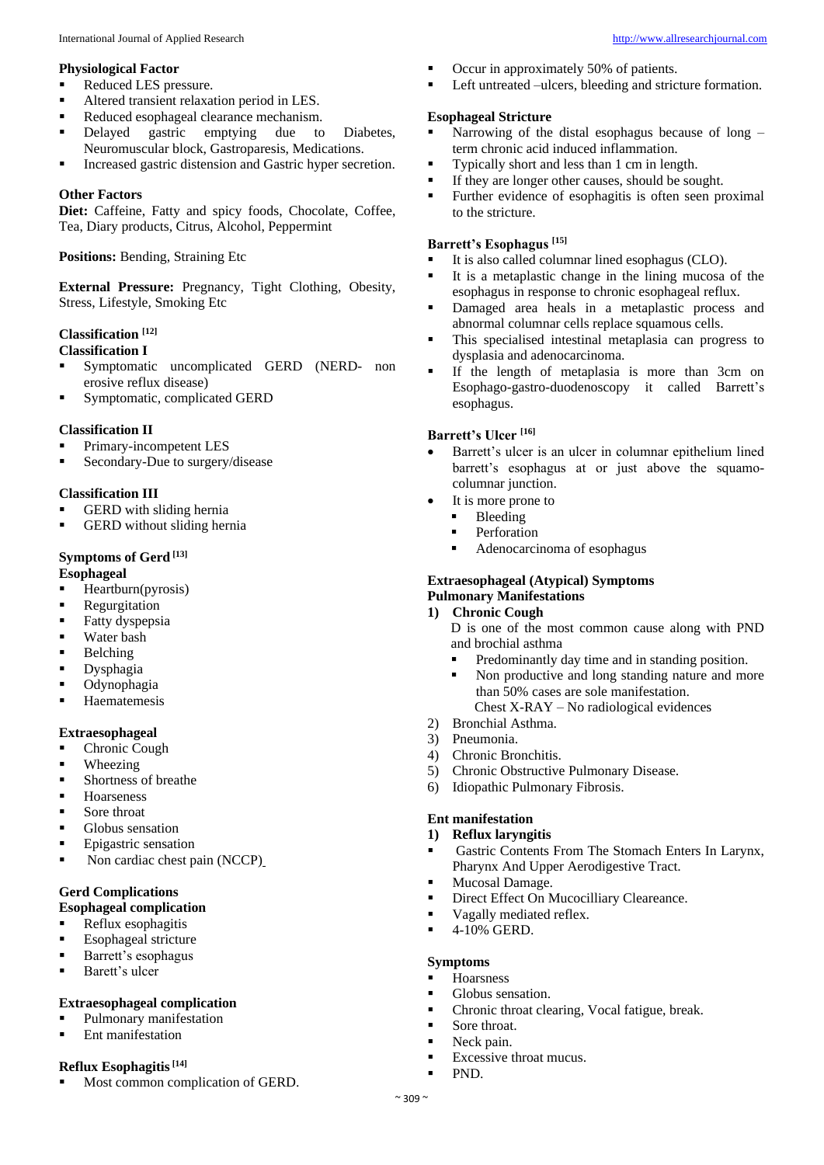#### **Physiological Factor**

- Reduced LES pressure.
- Altered transient relaxation period in LES.
- Reduced esophageal clearance mechanism.
- **•** Delayed gastric emptying due to Diabetes, Neuromuscular block, Gastroparesis, Medications.
- **■** Increased gastric distension and Gastric hyper secretion.

## **Other Factors**

**Diet:** Caffeine, Fatty and spicy foods, Chocolate, Coffee, Tea, Diary products, Citrus, Alcohol, Peppermint

#### **Positions:** Bending, Straining Etc

**External Pressure:** Pregnancy, Tight Clothing, Obesity, Stress, Lifestyle, Smoking Etc

# **Classification [12]**

# **Classification I**

- **·** Symptomatic uncomplicated GERD (NERD- non erosive reflux disease)
- Symptomatic, complicated GERD

#### **Classification II**

- Primary-incompetent LES
- Secondary-Due to surgery/disease

#### **Classification III**

- GERD with sliding hernia
- GERD without sliding hernia

# **Symptoms of Gerd [13]**

## **Esophageal**

- Heartburn(pyrosis)
- Regurgitation
- Fatty dyspepsia
- Water bash
- Belching
- **·** Dysphagia
- Odynophagia
- Haematemesis

#### **Extraesophageal**

- Chronic Cough
- Wheezing
- Shortness of breathe
- Hoarseness
- Sore throat
- Globus sensation
- Epigastric sensation
- Non cardiac chest pain (NCCP)

#### **Gerd Complications Esophageal complication**

- Reflux esophagitis
- Esophageal stricture
- Barrett's esophagus
- Barett's ulcer

#### **Extraesophageal complication**

- Pulmonary manifestation
- **Ent manifestation**

# **Reflux Esophagitis[14]**

Most common complication of GERD.

- Occur in approximately 50% of patients.
- Left untreated –ulcers, bleeding and stricture formation.

#### **Esophageal Stricture**

- Narrowing of the distal esophagus because of long  $$ term chronic acid induced inflammation.
- Typically short and less than 1 cm in length.
- If they are longer other causes, should be sought.
- **EXECUTE:** Further evidence of esophagitis is often seen proximal to the stricture.

# **Barrett's Esophagus [15]**

- It is also called columnar lined esophagus (CLO).
- It is a metaplastic change in the lining mucosa of the esophagus in response to chronic esophageal reflux.
- Damaged area heals in a metaplastic process and abnormal columnar cells replace squamous cells.
- This specialised intestinal metaplasia can progress to dysplasia and adenocarcinoma.
- If the length of metaplasia is more than  $3cm$  on Esophago-gastro-duodenoscopy it called Barrett's esophagus.

# **Barrett's Ulcer [16]**

- Barrett's ulcer is an ulcer in columnar epithelium lined barrett's esophagus at or just above the squamocolumnar junction.
- It is more prone to
	- **Bleeding**
	- Perforation
	- Adenocarcinoma of esophagus

#### **Extraesophageal (Atypical) Symptoms Pulmonary Manifestations**

**1) Chronic Cough**

D is one of the most common cause along with PND and brochial asthma

- Predominantly day time and in standing position.
- Non productive and long standing nature and more than 50% cases are sole manifestation.
- Chest X-RAY No radiological evidences 2) Bronchial Asthma.
- 3) Pneumonia.
- 4) Chronic Bronchitis.
- 5) Chronic Obstructive Pulmonary Disease.
- 6) Idiopathic Pulmonary Fibrosis.

#### **Ent manifestation**

#### **1) Reflux laryngitis**

- Gastric Contents From The Stomach Enters In Larynx, Pharynx And Upper Aerodigestive Tract.
- Mucosal Damage.
- Direct Effect On Mucocilliary Cleareance.
- Vagally mediated reflex.
- 4-10% GERD.

#### **Symptoms**

- **Hoarsness**
- **•** Globus sensation.
- Chronic throat clearing, Vocal fatigue, break.
- Sore throat.
- Neck pain.
- Excessive throat mucus.
- PND.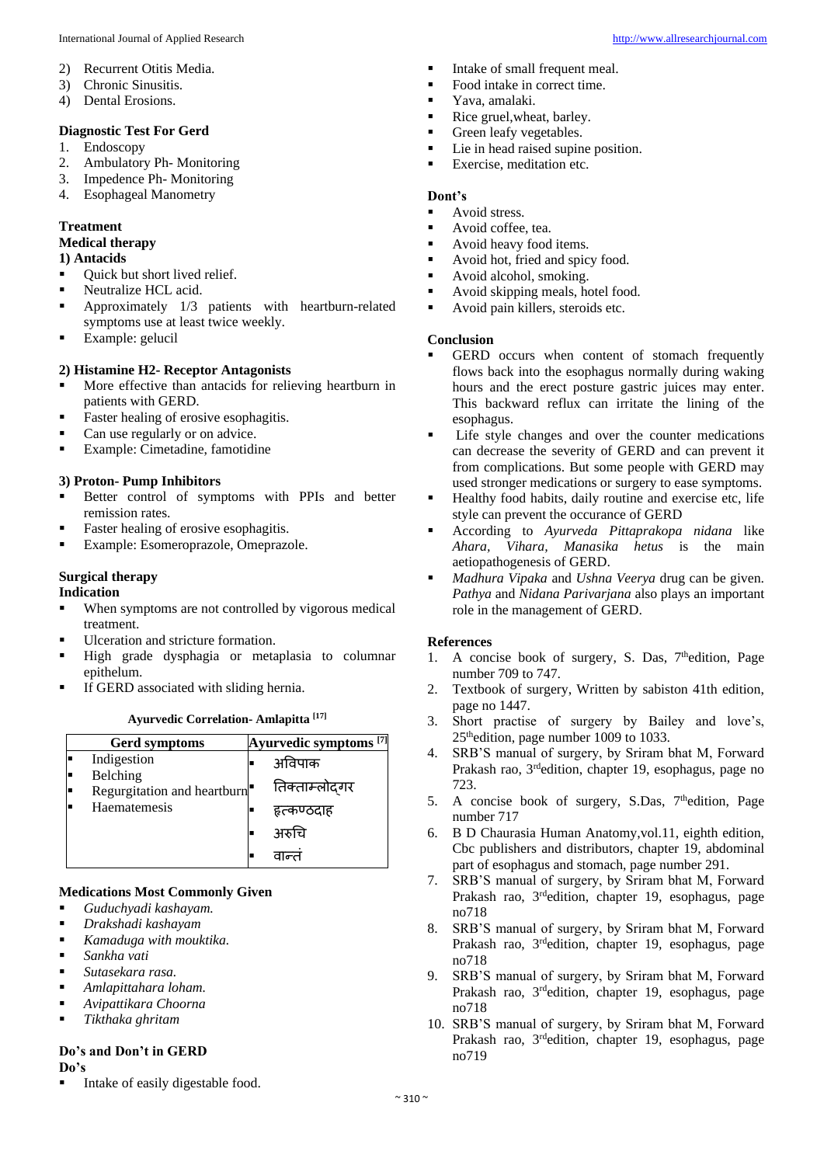- 2) Recurrent Otitis Media.
- 3) Chronic Sinusitis.
- 4) Dental Erosions.

#### **Diagnostic Test For Gerd**

- 1. Endoscopy
- 2. Ambulatory Ph- Monitoring
- 3. Impedence Ph- Monitoring
- 4. Esophageal Manometry

#### **Treatment**

# **Medical therapy**

# **1) Antacids**

- Ouick but short lived relief.
- Neutralize HCL acid.
- **EXECUTE:** Approximately 1/3 patients with heartburn-related symptoms use at least twice weekly.
- Example: gelucil

# **2) Histamine H2- Receptor Antagonists**

- More effective than antacids for relieving heartburn in patients with GERD.
- Faster healing of erosive esophagitis.
- Can use regularly or on advice.
- Example: Cimetadine, famotidine

#### **3) Proton- Pump Inhibitors**

- Better control of symptoms with PPIs and better remission rates.
- Faster healing of erosive esophagitis.
- Example: Esomeroprazole, Omeprazole.

#### **Surgical therapy**

#### **Indication**

- When symptoms are not controlled by vigorous medical treatment.
- Ulceration and stricture formation.
- High grade dysphagia or metaplasia to columnar epithelum.
- If GERD associated with sliding hernia.

#### **Ayurvedic Correlation- Amlapitta [17]**

| Gerd symptoms                           | Ayurvedic symptoms <sup>[7]</sup> |
|-----------------------------------------|-----------------------------------|
| Indigestion                             | अविपाक                            |
| Belching<br>Regurgitation and heartburn | तिक्ताम्लोदगर                     |
| Haematemesis                            | हत्कण्ठदाह                        |
|                                         | अरुचि                             |
|                                         |                                   |

#### **Medications Most Commonly Given**

- *Guduchyadi kashayam.*
- *Drakshadi kashayam*
- *Kamaduga with mouktika.*
- *Sankha vati*
- *Sutasekara rasa.*
- *Amlapittahara loham.*
- *Avipattikara Choorna*
- *Tikthaka ghritam*

# **Do's and Don't in GERD**

# **Do's**

Intake of easily digestable food.

- **•** Intake of small frequent meal.
- Food intake in correct time.
- Yava, amalaki.
- Rice gruel, wheat, barley.
- Green leafy vegetables.
- Lie in head raised supine position.
- Exercise, meditation etc.

# **Dont's**

#### Avoid stress.

- Avoid coffee, tea.
- Avoid heavy food items.
- Avoid hot, fried and spicy food.
- Avoid alcohol, smoking.
- Avoid skipping meals, hotel food.
- Avoid pain killers, steroids etc.

#### **Conclusion**

- GERD occurs when content of stomach frequently flows back into the esophagus normally during waking hours and the erect posture gastric juices may enter. This backward reflux can irritate the lining of the esophagus.
- Life style changes and over the counter medications can decrease the severity of GERD and can prevent it from complications. But some people with GERD may used stronger medications or surgery to ease symptoms.
- Healthy food habits, daily routine and exercise etc, life style can prevent the occurance of GERD
- According to *Ayurveda Pittaprakopa nidana* like *Ahara, Vihara, Manasika hetus* is the main aetiopathogenesis of GERD.
- *Madhura Vipaka* and *Ushna Veerya* drug can be given. *Pathya* and *Nidana Parivarjana* also plays an important role in the management of GERD.

#### **References**

- 1. A concise book of surgery, S. Das,  $7<sup>th</sup>$ edition, Page number 709 to 747.
- 2. Textbook of surgery, Written by sabiston 41th edition, page no 1447.
- 3. Short practise of surgery by Bailey and love's, 25thedition, page number 1009 to 1033.
- 4. SRB'S manual of surgery, by Sriram bhat M, Forward Prakash rao, 3<sup>rd</sup>edition, chapter 19, esophagus, page no 723.
- 5. A concise book of surgery, S.Das, 7<sup>th</sup>edition, Page number 717
- 6. B D Chaurasia Human Anatomy,vol.11, eighth edition, Cbc publishers and distributors, chapter 19, abdominal part of esophagus and stomach, page number 291.
- 7. SRB'S manual of surgery, by Sriram bhat M, Forward Prakash rao, 3rdedition, chapter 19, esophagus, page no718
- 8. SRB'S manual of surgery, by Sriram bhat M, Forward Prakash rao, 3rdedition, chapter 19, esophagus, page no718
- 9. SRB'S manual of surgery, by Sriram bhat M, Forward Prakash rao, 3rdedition, chapter 19, esophagus, page no718
- 10. SRB'S manual of surgery, by Sriram bhat M, Forward Prakash rao, 3rdedition, chapter 19, esophagus, page no719